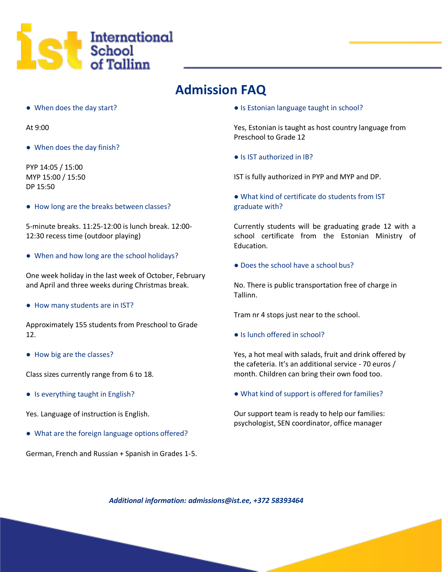

## **Admission FAQ**

● When does the day start?

At 9:00

● When does the day finish?

PYP 14:05 / 15:00 MYP 15:00 / 15:50 DP 15:50

● How long are the breaks between classes?

5-minute breaks. 11:25-12:00 is lunch break. 12:00- 12:30 recess time (outdoor playing)

● When and how long are the school holidays?

One week holiday in the last week of October, February and April and three weeks during Christmas break.

● How many students are in IST?

Approximately 155 students from Preschool to Grade 12.

● How big are the classes?

Class sizes currently range from 6 to 18.

● Is everything taught in English?

Yes. Language of instruction is English.

● What are the foreign language options offered?

German, French and Russian + Spanish in Grades 1-5.

● Is Estonian language taught in school?

Yes, Estonian is taught as host country language from Preschool to Grade 12

● Is IST authorized in IB?

IST is fully authorized in PYP and MYP and DP.

● What kind of certificate do students from IST graduate with?

Currently students will be graduating grade 12 with a school certificate from the Estonian Ministry of Education.

● Does the school have a school bus?

No. There is public transportation free of charge in Tallinn.

Tram nr 4 stops just near to the school.

● Is lunch offered in school?

Yes, a hot meal with salads, fruit and drink offered by the cafeteria. It's an additional service - 70 euros / month. Children can bring their own food too.

● What kind of support is offered for families?

Our support team is ready to help our families: psychologist, SEN coordinator, office manager

*Additional information: [admissions@ist.ee, +](mailto:admissions@ist.ee)372 58393464*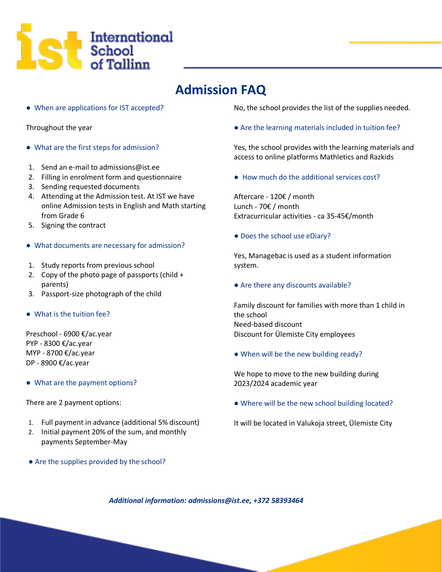

## **Admission FAQ**

● When are applications for IST accepted?

Throughout the year

- What are the first steps for admission?
- 1. Send an e-mail t[o admissions@ist.ee](mailto:admissions@ist.ee)
- 2. Filling in enrolment form and questionnaire
- 3. Sending requested documents
- 4. Attending at the Admission test. At IST we have online Admission tests in English and Math starting from Grade 6
- 5. Signing the contract
- What documents are necessary for admission?
- 1. Study reports from previous school
- 2. Copy of the photo page of passports (child + parents)
- 3. Passport-size photograph of the child
- What is the tuition fee?

Preschool - 6900 €/ac.year PYP - 8300 €/ac.year MYP - 8700 €/ac.year DP - 8900 €/ac.year

● What are the payment options?

There are 2 payment options:

- 1. Full payment in advance (additional 5% discount)
- 2. Initial payment 20% of the sum, and monthly payments September-May
- Are the supplies provided by the school?

No, the school provides the list of the supplies needed.

● Are the learning materials included in tuition fee?

Yes, the school provides with the learning materials and access to online platforms Mathletics and Razkids

● How much do the additional services cost?

Aftercare - 120€ / month Lunch - 70€ / month Extracurricular activities - ca 35-45€/month

● Does the school use eDiary?

Yes, Managebac is used as a student information system.

• Are there any discounts available?

Family discount for families with more than 1 child in the school Need-based discount Discount for Ülemiste City employees

● When will be the new building ready?

We hope to move to the new building during 2023/2024 academic year

● Where will be the new school building located?

It will be located in Valukoja street, Ülemiste City

*Additional information: [admissions@ist.ee, +](mailto:admissions@ist.ee)372 58393464*